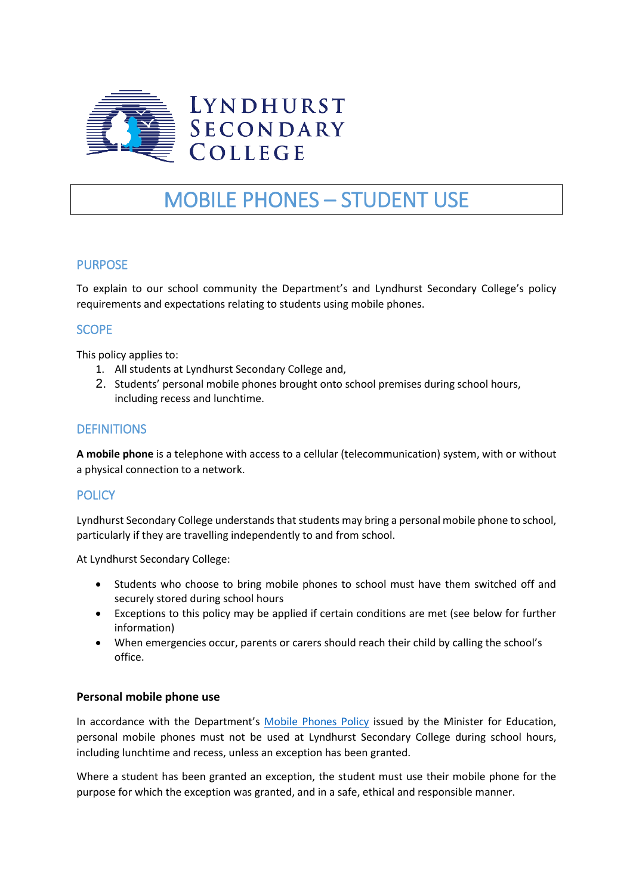

# MOBILE PHONES – STUDENT USE

# PURPOSE

To explain to our school community the Department's and Lyndhurst Secondary College's policy requirements and expectations relating to students using mobile phones.

# **SCOPE**

This policy applies to:

- 1. All students at Lyndhurst Secondary College and,
- 2. Students' personal mobile phones brought onto school premises during school hours, including recess and lunchtime.

# **DEFINITIONS**

**A mobile phone** is a telephone with access to a cellular (telecommunication) system, with or without a physical connection to a network.

## **POLICY**

Lyndhurst Secondary College understands that students may bring a personal mobile phone to school, particularly if they are travelling independently to and from school.

At Lyndhurst Secondary College:

- Students who choose to bring mobile phones to school must have them switched off and securely stored during school hours
- Exceptions to this policy may be applied if certain conditions are met (see below for further information)
- When emergencies occur, parents or carers should reach their child by calling the school's office.

#### **Personal mobile phone use**

In accordance with the Department's [Mobile Phones Policy](https://www.education.vic.gov.au/school/principals/spag/safety/Pages/mobilephones.aspx) issued by the Minister for Education, personal mobile phones must not be used at Lyndhurst Secondary College during school hours, including lunchtime and recess, unless an exception has been granted.

Where a student has been granted an exception, the student must use their mobile phone for the purpose for which the exception was granted, and in a safe, ethical and responsible manner.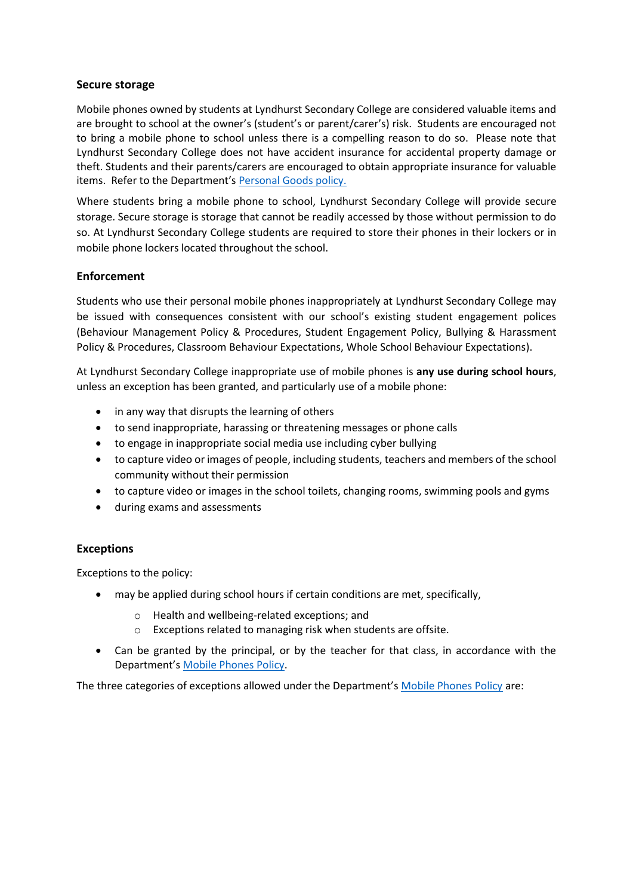#### **Secure storage**

Mobile phones owned by students at Lyndhurst Secondary College are considered valuable items and are brought to school at the owner's (student's or parent/carer's) risk. Students are encouraged not to bring a mobile phone to school unless there is a compelling reason to do so. Please note that Lyndhurst Secondary College does not have accident insurance for accidental property damage or theft. Students and their parents/carers are encouraged to obtain appropriate insurance for valuable items. Refer to the Department's [Personal Goods](https://www.education.vic.gov.au/school/principals/spag/governance/pages/personalgoods.aspx) policy.

Where students bring a mobile phone to school, Lyndhurst Secondary College will provide secure storage. Secure storage is storage that cannot be readily accessed by those without permission to do so. At Lyndhurst Secondary College students are required to store their phones in their lockers or in mobile phone lockers located throughout the school.

## **Enforcement**

Students who use their personal mobile phones inappropriately at Lyndhurst Secondary College may be issued with consequences consistent with our school's existing student engagement polices (Behaviour Management Policy & Procedures, Student Engagement Policy, Bullying & Harassment Policy & Procedures, Classroom Behaviour Expectations, Whole School Behaviour Expectations).

At Lyndhurst Secondary College inappropriate use of mobile phones is **any use during school hours**, unless an exception has been granted, and particularly use of a mobile phone:

- in any way that disrupts the learning of others
- to send inappropriate, harassing or threatening messages or phone calls
- to engage in inappropriate social media use including cyber bullying
- to capture video or images of people, including students, teachers and members of the school community without their permission
- to capture video or images in the school toilets, changing rooms, swimming pools and gyms
- during exams and assessments

## **Exceptions**

Exceptions to the policy:

- may be applied during school hours if certain conditions are met, specifically,
	- o Health and wellbeing-related exceptions; and
	- o Exceptions related to managing risk when students are offsite.
- Can be granted by the principal, or by the teacher for that class, in accordance with the Department's [Mobile Phones Policy.](https://www.education.vic.gov.au/school/principals/spag/safety/Pages/mobilephones.aspx)

The three categories of exceptions allowed under the Department's [Mobile Phones Policy](https://www.education.vic.gov.au/school/principals/spag/safety/Pages/mobilephones.aspx) are: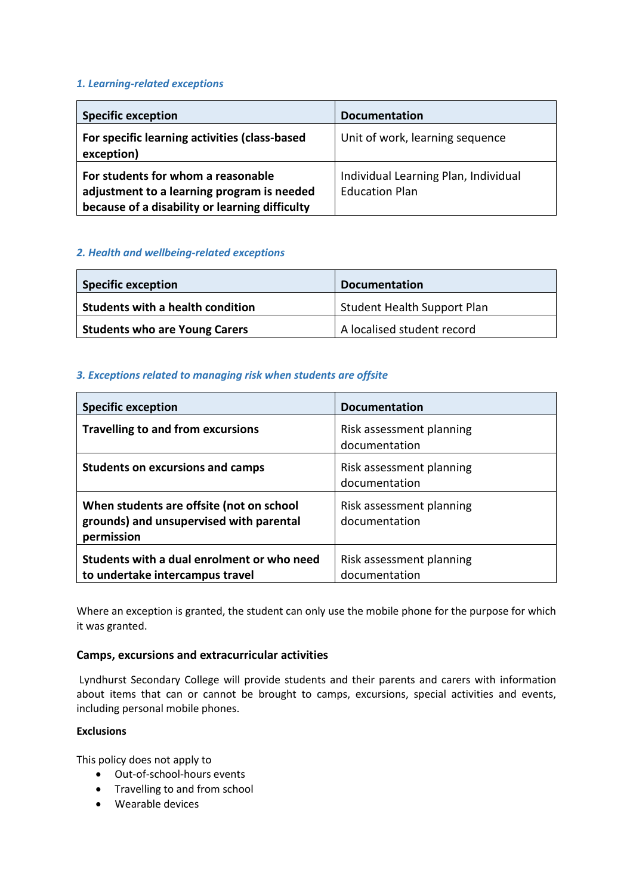#### *1. Learning-related exceptions*

| <b>Specific exception</b>                                                                                                          | <b>Documentation</b>                                          |
|------------------------------------------------------------------------------------------------------------------------------------|---------------------------------------------------------------|
| For specific learning activities (class-based<br>exception)                                                                        | Unit of work, learning sequence                               |
| For students for whom a reasonable<br>adjustment to a learning program is needed<br>because of a disability or learning difficulty | Individual Learning Plan, Individual<br><b>Education Plan</b> |

## *2. Health and wellbeing-related exceptions*

| <b>Specific exception</b>            | <b>Documentation</b>               |
|--------------------------------------|------------------------------------|
| Students with a health condition     | <b>Student Health Support Plan</b> |
| <b>Students who are Young Carers</b> | A localised student record         |

## *3. Exceptions related to managing risk when students are offsite*

| <b>Specific exception</b>                                                                         | <b>Documentation</b>                      |
|---------------------------------------------------------------------------------------------------|-------------------------------------------|
| <b>Travelling to and from excursions</b>                                                          | Risk assessment planning<br>documentation |
| <b>Students on excursions and camps</b>                                                           | Risk assessment planning<br>documentation |
| When students are offsite (not on school<br>grounds) and unsupervised with parental<br>permission | Risk assessment planning<br>documentation |
| Students with a dual enrolment or who need<br>to undertake intercampus travel                     | Risk assessment planning<br>documentation |

Where an exception is granted, the student can only use the mobile phone for the purpose for which it was granted.

## **Camps, excursions and extracurricular activities**

Lyndhurst Secondary College will provide students and their parents and carers with information about items that can or cannot be brought to camps, excursions, special activities and events, including personal mobile phones.

# **Exclusions**

This policy does not apply to

- Out-of-school-hours events
- Travelling to and from school
- Wearable devices